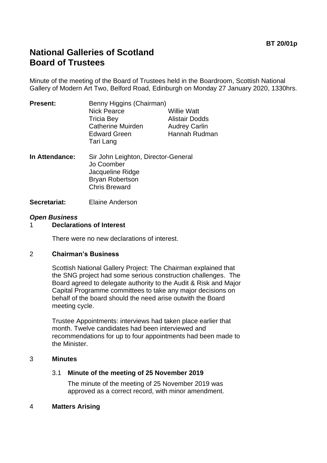# **National Galleries of Scotland Board of Trustees**

Minute of the meeting of the Board of Trustees held in the Boardroom, Scottish National Gallery of Modern Art Two, Belford Road, Edinburgh on Monday 27 January 2020, 1330hrs.

| <b>Present:</b> | Benny Higgins (Chairman)<br><b>Nick Pearce</b><br><b>Tricia Bey</b><br><b>Catherine Muirden</b><br><b>Edward Green</b> | <b>Willie Watt</b><br><b>Alistair Dodds</b><br><b>Audrey Carlin</b><br>Hannah Rudman |
|-----------------|------------------------------------------------------------------------------------------------------------------------|--------------------------------------------------------------------------------------|
|                 | Tari Lang                                                                                                              |                                                                                      |
| In Attondance:  | Sir John Laighton, Director-General                                                                                    |                                                                                      |

- **In Attendance:** Sir John Leighton, Director-General Jo Coomber Jacqueline Ridge Bryan Robertson Chris Breward
- **Secretariat:** Elaine Anderson

#### *Open Business*

## 1 **Declarations of Interest**

There were no new declarations of interest.

#### 2 **Chairman's Business**

Scottish National Gallery Project: The Chairman explained that the SNG project had some serious construction challenges. The Board agreed to delegate authority to the Audit & Risk and Major Capital Programme committees to take any major decisions on behalf of the board should the need arise outwith the Board meeting cycle.

Trustee Appointments: interviews had taken place earlier that month. Twelve candidates had been interviewed and recommendations for up to four appointments had been made to the Minister.

#### 3 **Minutes**

## 3.1 **Minute of the meeting of 25 November 2019**

The minute of the meeting of 25 November 2019 was approved as a correct record, with minor amendment.

#### 4 **Matters Arising**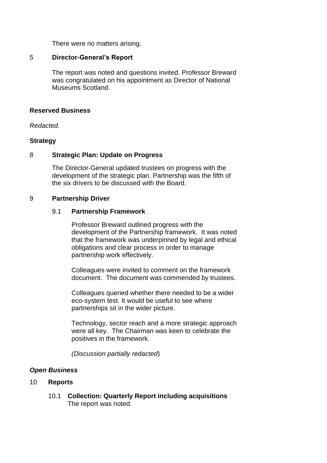There were no matters arising.

#### 5 **Director-General's Report**

The report was noted and questions invited. Professor Breward was congratulated on his appointment as Director of National Museums Scotland.

#### **Reserved Business**

*Redacted.*

#### **Strategy**

#### 8 **Strategic Plan: Update on Progress**

The Director-General updated trustees on progress with the development of the strategic plan. Partnership was the fifth of the six drivers to be discussed with the Board.

#### 9 **Partnership Driver**

#### 9.1 **Partnership Framework**

Professor Breward outlined progress with the development of the Partnership framework. It was noted that the framework was underpinned by legal and ethical obligations and clear process in order to manage partnership work effectively.

Colleagues were invited to comment on the framework document. The document was commended by trustees.

Colleagues queried whether there needed to be a wider eco-system test. It would be useful to see where partnerships sit in the wider picture.

Technology, sector reach and a more strategic approach were all key. The Chairman was keen to celebrate the positives in the framework.

*(Discussion partially redacted*)

## *Open Business*

#### 10 **Reports**

10.1 **Collection: Quarterly Report including acquisitions** The report was noted.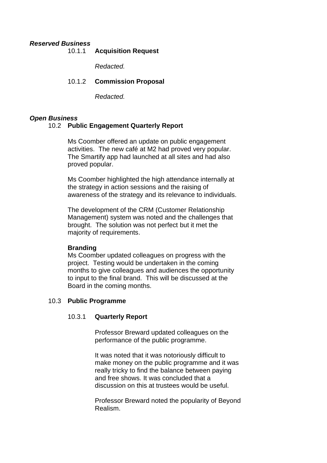#### *Reserved Business*

## 10.1.1 **Acquisition Request**

*Redacted.*

## 10.1.2 **Commission Proposal**

*Redacted.*

## *Open Business*

## 10.2 **Public Engagement Quarterly Report**

Ms Coomber offered an update on public engagement activities. The new café at M2 had proved very popular. The Smartify app had launched at all sites and had also proved popular.

Ms Coomber highlighted the high attendance internally at the strategy in action sessions and the raising of awareness of the strategy and its relevance to individuals.

The development of the CRM (Customer Relationship Management) system was noted and the challenges that brought. The solution was not perfect but it met the majority of requirements.

## **Branding**

Ms Coomber updated colleagues on progress with the project. Testing would be undertaken in the coming months to give colleagues and audiences the opportunity to input to the final brand. This will be discussed at the Board in the coming months.

## 10.3 **Public Programme**

## 10.3.1 **Quarterly Report**

Professor Breward updated colleagues on the performance of the public programme.

It was noted that it was notoriously difficult to make money on the public programme and it was really tricky to find the balance between paying and free shows. It was concluded that a discussion on this at trustees would be useful.

Professor Breward noted the popularity of Beyond Realism.